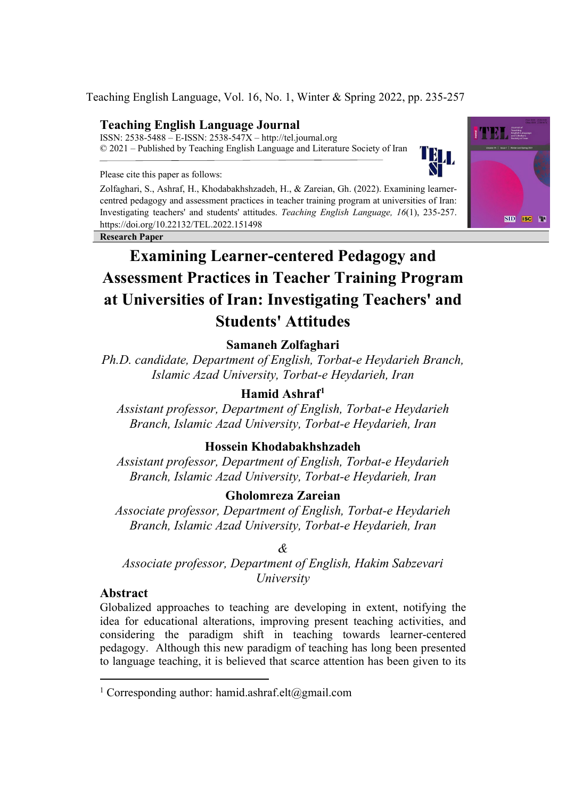Teaching English Language, Vol. 16, No. 1, Winter & Spring 2022, pp. 235-257

# **Teaching English Language Journal**

ISSN: 2538-5488 – E-ISSN: 2538-547X – http://tel.journal.org © 2021 – Published by Teaching English Language and Literature Society of Iran

Please cite this paper as follows:

Zolfaghari, S., Ashraf, H., Khodabakhshzadeh, H., & Zareian, Gh. (2022). Examining learnercentred pedagogy and assessment practices in teacher training program at universities of Iran: Investigating teachers' and students' attitudes. *Teaching English Language, 16*(1), 235-257. https://doi.org/10.22132/TEL.2022.151498

**Research Paper**



# **Samaneh Zolfaghari**

*Ph.D. candidate, Department of English, Torbat-e Heydarieh Branch, Islamic Azad University, Torbat-e Heydarieh, Iran*

# **Hamid Ashraf[1](#page-0-0)**

*Assistant professor, Department of English, Torbat-e Heydarieh Branch, Islamic Azad University, Torbat-e Heydarieh, Iran*

# **Hossein Khodabakhshzadeh**

*Assistant professor, Department of English, Torbat-e Heydarieh Branch, Islamic Azad University, Torbat-e Heydarieh, Iran*

# **Gholomreza Zareian**

*Associate professor, Department of English, Torbat-e Heydarieh Branch, Islamic Azad University, Torbat-e Heydarieh, Iran*

## *&*

*Associate professor, Department of English, Hakim Sabzevari University*

## **Abstract**

Globalized approaches to teaching are developing in extent, notifying the idea for educational alterations, improving present teaching activities, and considering the paradigm shift in teaching towards learner-centered pedagogy. Although this new paradigm of teaching has long been presented to language teaching, it is believed that scarce attention has been given to its



IЭL.

<span id="page-0-0"></span><sup>&</sup>lt;sup>1</sup> Corresponding author: hamid.ashraf.elt@gmail.com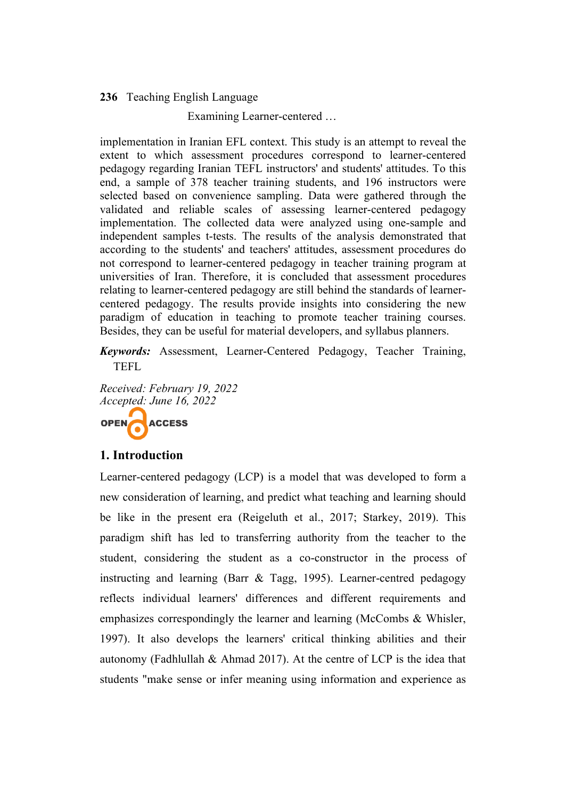Examining Learner-centered …

implementation in Iranian EFL context. This study is an attempt to reveal the extent to which assessment procedures correspond to learner-centered pedagogy regarding Iranian TEFL instructors' and students' attitudes. To this end, a sample of 378 teacher training students, and 196 instructors were selected based on convenience sampling. Data were gathered through the validated and reliable scales of assessing learner-centered pedagogy implementation. The collected data were analyzed using one-sample and independent samples t-tests. The results of the analysis demonstrated that according to the students' and teachers' attitudes, assessment procedures do not correspond to learner-centered pedagogy in teacher training program at universities of Iran. Therefore, it is concluded that assessment procedures relating to learner-centered pedagogy are still behind the standards of learnercentered pedagogy. The results provide insights into considering the new paradigm of education in teaching to promote teacher training courses. Besides, they can be useful for material developers, and syllabus planners.

*Keywords:* Assessment, Learner-Centered Pedagogy, Teacher Training, TEFL

*Received: February 19, 2022 Accepted: June 16, 2022*

OPEN ACCESS

# **1. Introduction**

Learner-centered pedagogy (LCP) is a model that was developed to form a new consideration of learning, and predict what teaching and learning should be like in the present era (Reigeluth et al., 2017; Starkey, 2019). This paradigm shift has led to transferring authority from the teacher to the student, considering the student as a co-constructor in the process of instructing and learning (Barr & Tagg, 1995). Learner-centred pedagogy reflects individual learners' differences and different requirements and emphasizes correspondingly the learner and learning (McCombs & Whisler, 1997). It also develops the learners' critical thinking abilities and their autonomy (Fadhlullah & Ahmad 2017). At the centre of LCP is the idea that students "make sense or infer meaning using information and experience as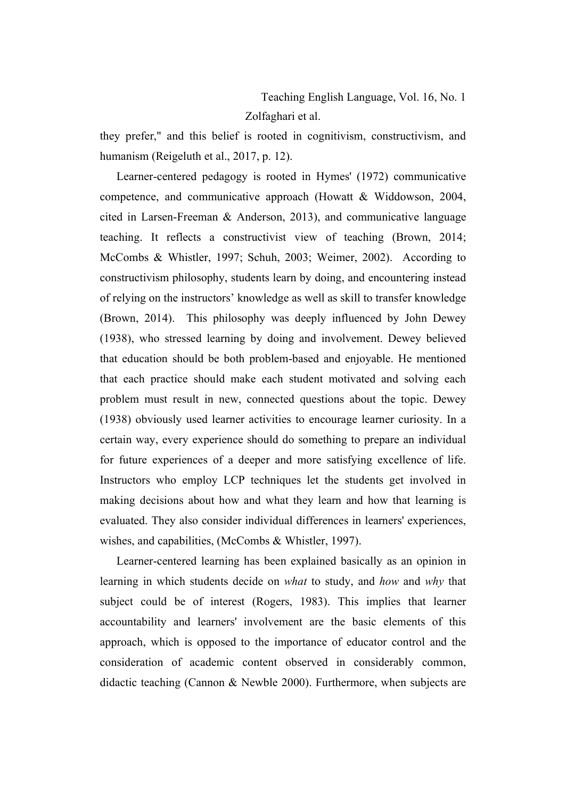Teaching English Language, Vol. 16, No. 1 Zolfaghari et al.

they prefer," and this belief is rooted in cognitivism, constructivism, and humanism (Reigeluth et al., 2017, p. 12).

Learner-centered pedagogy is rooted in Hymes' (1972) communicative competence, and communicative approach (Howatt & Widdowson, 2004, cited in Larsen-Freeman & Anderson, 2013), and communicative language teaching. It reflects a constructivist view of teaching (Brown, 2014; McCombs & Whistler, 1997; Schuh, 2003; Weimer, 2002). According to constructivism philosophy, students learn by doing, and encountering instead of relying on the instructors' knowledge as well as skill to transfer knowledge (Brown, 2014). This philosophy was deeply influenced by John Dewey (1938), who stressed learning by doing and involvement. Dewey believed that education should be both problem-based and enjoyable. He mentioned that each practice should make each student motivated and solving each problem must result in new, connected questions about the topic. Dewey (1938) obviously used learner activities to encourage learner curiosity. In a certain way, every experience should do something to prepare an individual for future experiences of a deeper and more satisfying excellence of life. Instructors who employ LCP techniques let the students get involved in making decisions about how and what they learn and how that learning is evaluated. They also consider individual differences in learners' experiences, wishes, and capabilities, (McCombs & Whistler, 1997).

Learner-centered learning has been explained basically as an opinion in learning in which students decide on *what* to study, and *how* and *why* that subject could be of interest (Rogers, 1983). This implies that learner accountability and learners' involvement are the basic elements of this approach, which is opposed to the importance of educator control and the consideration of academic content observed in considerably common, didactic teaching (Cannon & Newble 2000). Furthermore, when subjects are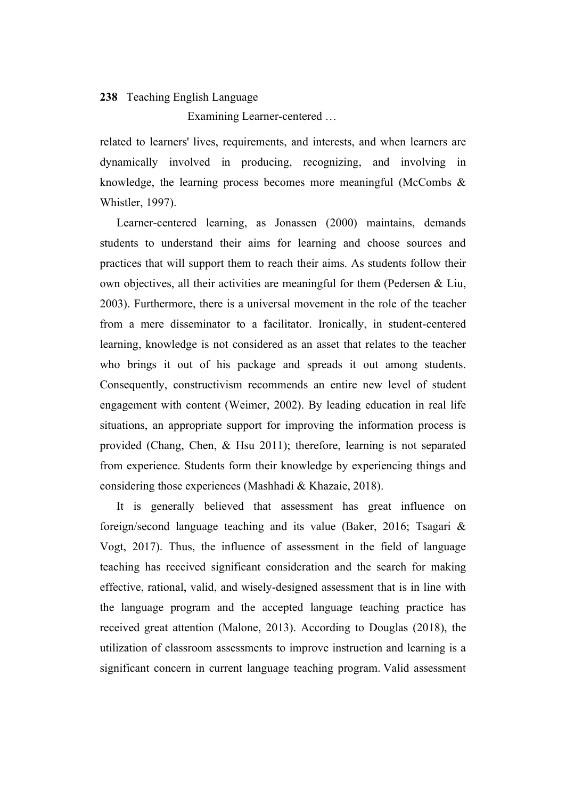Examining Learner-centered …

related to learners' lives, requirements, and interests, and when learners are dynamically involved in producing, recognizing, and involving in knowledge, the learning process becomes more meaningful (McCombs  $\&$ Whistler, 1997).

Learner-centered learning, as Jonassen (2000) maintains, demands students to understand their aims for learning and choose sources and practices that will support them to reach their aims. As students follow their own objectives, all their activities are meaningful for them (Pedersen & Liu, 2003). Furthermore, there is a universal movement in the role of the teacher from a mere disseminator to a facilitator. Ironically, in student-centered learning, knowledge is not considered as an asset that relates to the teacher who brings it out of his package and spreads it out among students. Consequently, constructivism recommends an entire new level of student engagement with content (Weimer, 2002). By leading education in real life situations, an appropriate support for improving the information process is provided (Chang, Chen, & Hsu 2011); therefore, learning is not separated from experience. Students form their knowledge by experiencing things and considering those experiences (Mashhadi & Khazaie, 2018).

It is generally believed that assessment has great influence on foreign/second language teaching and its value (Baker, 2016; Tsagari & Vogt, 2017). Thus, the influence of assessment in the field of language teaching has received significant consideration and the search for making effective, rational, valid, and wisely-designed assessment that is in line with the language program and the accepted language teaching practice has received great attention (Malone, 2013). According to Douglas (2018), the utilization of classroom assessments to improve instruction and learning is a significant concern in current language teaching program. Valid assessment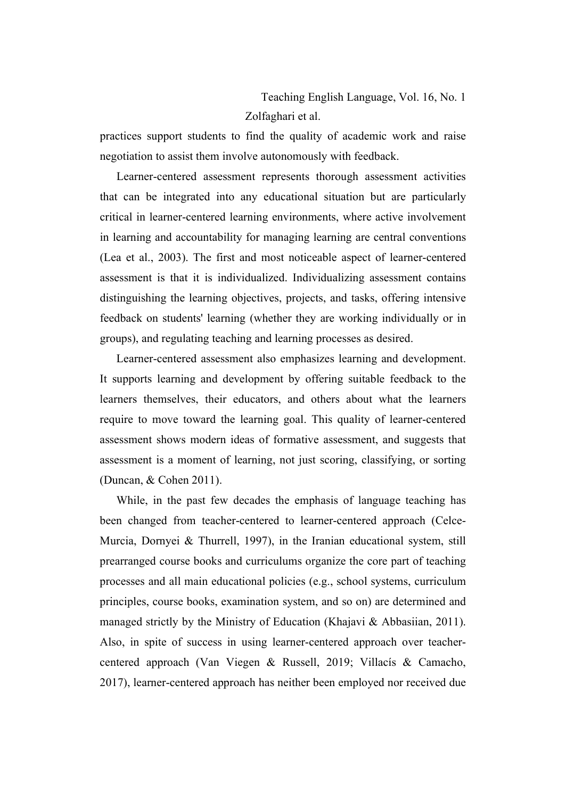Teaching English Language, Vol. 16, No. 1 Zolfaghari et al.

practices support students to find the quality of academic work and raise negotiation to assist them involve autonomously with feedback.

Learner-centered assessment represents thorough assessment activities that can be integrated into any educational situation but are particularly critical in learner-centered learning environments, where active involvement in learning and accountability for managing learning are central conventions (Lea et al., 2003). The first and most noticeable aspect of learner-centered assessment is that it is individualized. Individualizing assessment contains distinguishing the learning objectives, projects, and tasks, offering intensive feedback on students' learning (whether they are working individually or in groups), and regulating teaching and learning processes as desired.

Learner-centered assessment also emphasizes learning and development. It supports learning and development by offering suitable feedback to the learners themselves, their educators, and others about what the learners require to move toward the learning goal. This quality of learner-centered assessment shows modern ideas of formative assessment, and suggests that assessment is a moment of learning, not just scoring, classifying, or sorting (Duncan, & Cohen 2011).

While, in the past few decades the emphasis of language teaching has been changed from teacher-centered to learner-centered approach (Celce-Murcia, Dornyei & Thurrell, 1997), in the Iranian educational system, still prearranged course books and curriculums organize the core part of teaching processes and all main educational policies (e.g., school systems, curriculum principles, course books, examination system, and so on) are determined and managed strictly by the Ministry of Education (Khajavi & Abbasiian, 2011). Also, in spite of success in using learner-centered approach over teachercentered approach (Van Viegen & Russell, 2019; Villacís & Camacho, 2017), learner-centered approach has neither been employed nor received due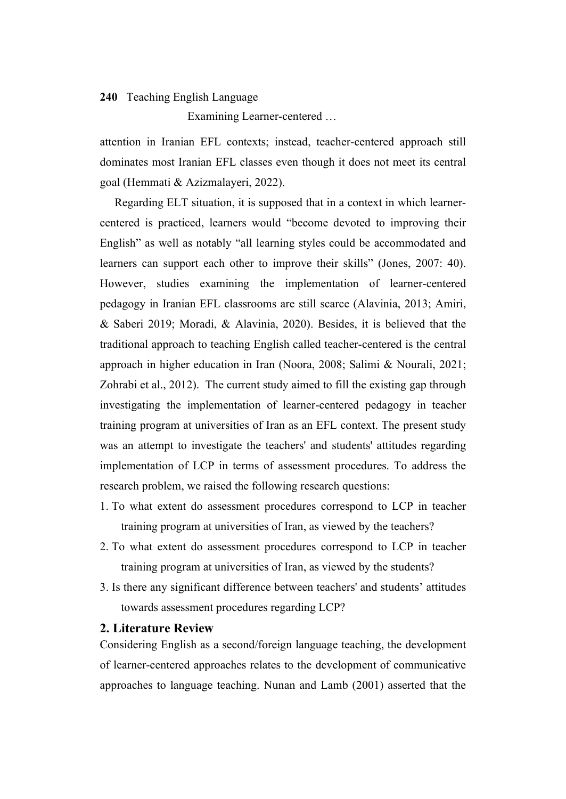Examining Learner-centered …

attention in Iranian EFL contexts; instead, teacher-centered approach still dominates most Iranian EFL classes even though it does not meet its central goal (Hemmati & Azizmalayeri, 2022).

 Regarding ELT situation, it is supposed that in a context in which learnercentered is practiced, learners would "become devoted to improving their English" as well as notably "all learning styles could be accommodated and learners can support each other to improve their skills" (Jones, 2007: 40). However, studies examining the implementation of learner-centered pedagogy in Iranian EFL classrooms are still scarce (Alavinia, 2013; Amiri, & Saberi 2019; Moradi, & Alavinia, 2020). Besides, it is believed that the traditional approach to teaching English called teacher-centered is the central approach in higher education in Iran (Noora, 2008; Salimi & Nourali, 2021; Zohrabi et al., 2012). The current study aimed to fill the existing gap through investigating the implementation of learner-centered pedagogy in teacher training program at universities of Iran as an EFL context. The present study was an attempt to investigate the teachers' and students' attitudes regarding implementation of LCP in terms of assessment procedures. To address the research problem, we raised the following research questions:

- 1. To what extent do assessment procedures correspond to LCP in teacher training program at universities of Iran, as viewed by the teachers?
- 2. To what extent do assessment procedures correspond to LCP in teacher training program at universities of Iran, as viewed by the students?
- 3. Is there any significant difference between teachers' and students' attitudes towards assessment procedures regarding LCP?

### **2. Literature Review**

Considering English as a second/foreign language teaching, the development of learner-centered approaches relates to the development of communicative approaches to language teaching. Nunan and Lamb (2001) asserted that the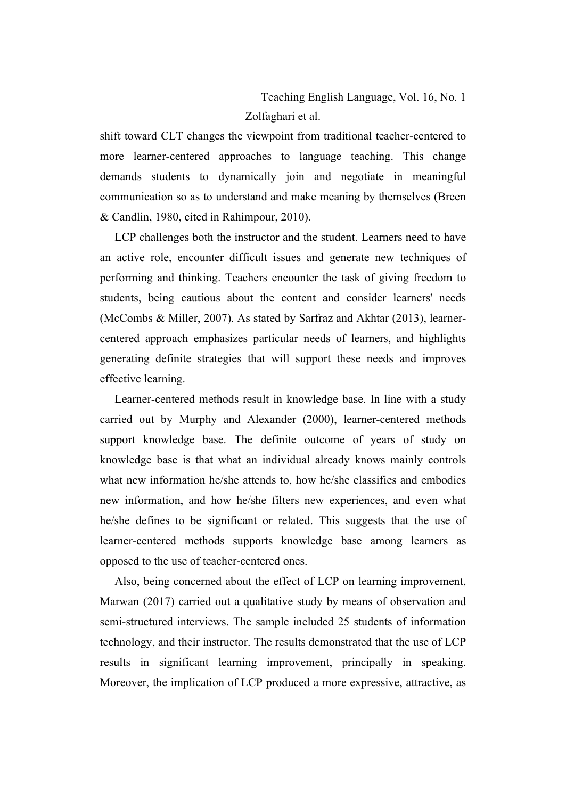Teaching English Language, Vol. 16, No. 1 Zolfaghari et al.

shift toward CLT changes the viewpoint from traditional teacher-centered to more learner-centered approaches to language teaching. This change demands students to dynamically join and negotiate in meaningful communication so as to understand and make meaning by themselves (Breen & Candlin, 1980, cited in Rahimpour, 2010).

 LCP challenges both the instructor and the student. Learners need to have an active role, encounter difficult issues and generate new techniques of performing and thinking. Teachers encounter the task of giving freedom to students, being cautious about the content and consider learners' needs (McCombs & Miller, 2007). As stated by Sarfraz and Akhtar (2013), learnercentered approach emphasizes particular needs of learners, and highlights generating definite strategies that will support these needs and improves effective learning.

 Learner-centered methods result in knowledge base. In line with a study carried out by Murphy and Alexander (2000), learner-centered methods support knowledge base. The definite outcome of years of study on knowledge base is that what an individual already knows mainly controls what new information he/she attends to, how he/she classifies and embodies new information, and how he/she filters new experiences, and even what he/she defines to be significant or related. This suggests that the use of learner-centered methods supports knowledge base among learners as opposed to the use of teacher-centered ones.

 Also, being concerned about the effect of LCP on learning improvement, Marwan (2017) carried out a qualitative study by means of observation and semi-structured interviews. The sample included 25 students of information technology, and their instructor. The results demonstrated that the use of LCP results in significant learning improvement, principally in speaking. Moreover, the implication of LCP produced a more expressive, attractive, as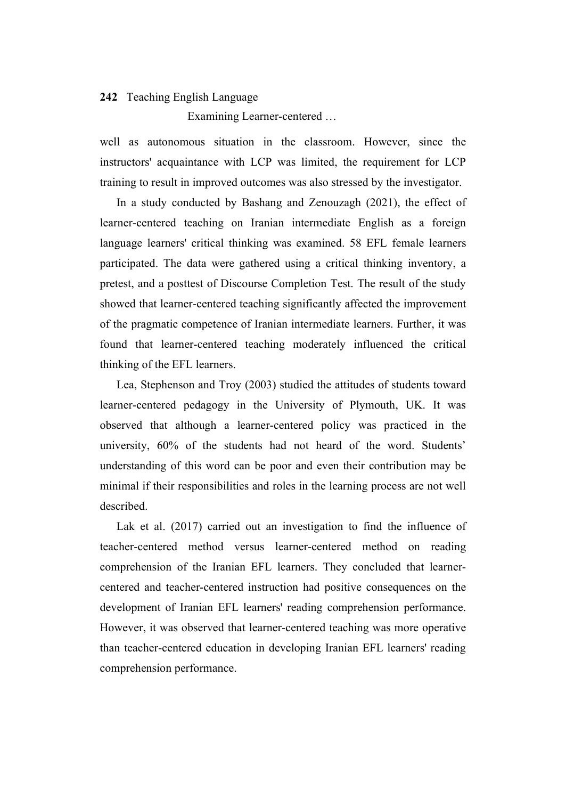Examining Learner-centered …

well as autonomous situation in the classroom. However, since the instructors' acquaintance with LCP was limited, the requirement for LCP training to result in improved outcomes was also stressed by the investigator.

In a study conducted by Bashang and Zenouzagh (2021), the effect of learner-centered teaching on Iranian intermediate English as a foreign language learners' critical thinking was examined. 58 EFL female learners participated. The data were gathered using a critical thinking inventory, a pretest, and a posttest of Discourse Completion Test. The result of the study showed that learner-centered teaching significantly affected the improvement of the pragmatic competence of Iranian intermediate learners. Further, it was found that learner-centered teaching moderately influenced the critical thinking of the EFL learners.

Lea, Stephenson and Troy (2003) studied the attitudes of students toward learner-centered pedagogy in the University of Plymouth, UK. It was observed that although a learner-centered policy was practiced in the university, 60% of the students had not heard of the word. Students' understanding of this word can be poor and even their contribution may be minimal if their responsibilities and roles in the learning process are not well described.

Lak et al. (2017) carried out an investigation to find the influence of teacher-centered method versus learner-centered method on reading comprehension of the Iranian EFL learners. They concluded that learnercentered and teacher-centered instruction had positive consequences on the development of Iranian EFL learners' reading comprehension performance. However, it was observed that learner-centered teaching was more operative than teacher-centered education in developing Iranian EFL learners' reading comprehension performance.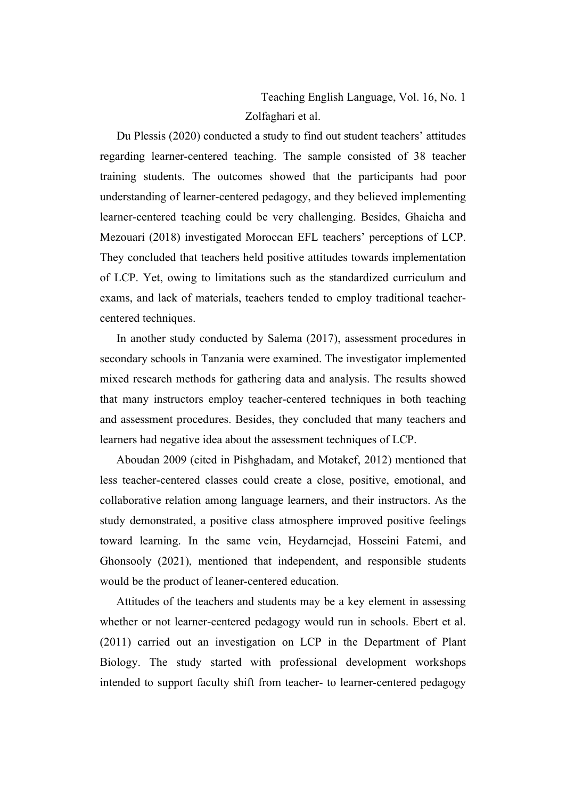Teaching English Language, Vol. 16, No. 1 Zolfaghari et al.

Du Plessis (2020) conducted a study to find out student teachers' attitudes regarding learner-centered teaching. The sample consisted of 38 teacher training students. The outcomes showed that the participants had poor understanding of learner-centered pedagogy, and they believed implementing learner-centered teaching could be very challenging. Besides, Ghaicha and Mezouari (2018) investigated Moroccan EFL teachers' perceptions of LCP. They concluded that teachers held positive attitudes towards implementation of LCP. Yet, owing to limitations such as the standardized curriculum and exams, and lack of materials, teachers tended to employ traditional teachercentered techniques.

In another study conducted by Salema (2017), assessment procedures in secondary schools in Tanzania were examined. The investigator implemented mixed research methods for gathering data and analysis. The results showed that many instructors employ teacher-centered techniques in both teaching and assessment procedures. Besides, they concluded that many teachers and learners had negative idea about the assessment techniques of LCP.

Aboudan 2009 (cited in Pishghadam, and Motakef, 2012) mentioned that less teacher-centered classes could create a close, positive, emotional, and collaborative relation among language learners, and their instructors. As the study demonstrated, a positive class atmosphere improved positive feelings toward learning. In the same vein, Heydarnejad, Hosseini Fatemi, and Ghonsooly (2021), mentioned that independent, and responsible students would be the product of leaner-centered education.

Attitudes of the teachers and students may be a key element in assessing whether or not learner-centered pedagogy would run in schools. Ebert et al. (2011) carried out an investigation on LCP in the Department of Plant Biology. The study started with professional development workshops intended to support faculty shift from teacher- to learner-centered pedagogy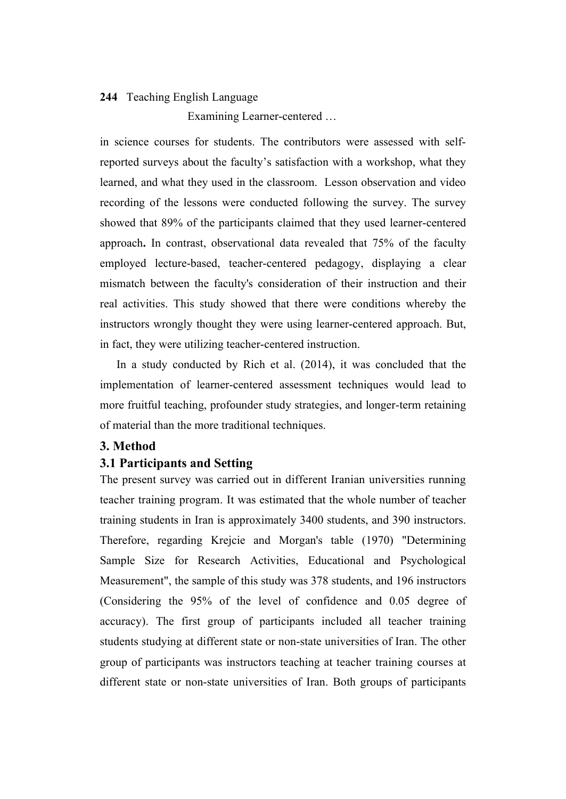Examining Learner-centered …

in science courses for students. The contributors were assessed with selfreported surveys about the faculty's satisfaction with a workshop, what they learned, and what they used in the classroom. Lesson observation and video recording of the lessons were conducted following the survey. The survey showed that 89% of the participants claimed that they used learner-centered approach**.** In contrast, observational data revealed that 75% of the faculty employed lecture-based, teacher-centered pedagogy, displaying a clear mismatch between the faculty's consideration of their instruction and their real activities. This study showed that there were conditions whereby the instructors wrongly thought they were using learner-centered approach. But, in fact, they were utilizing teacher-centered instruction.

In a study conducted by Rich et al. (2014), it was concluded that the implementation of learner-centered assessment techniques would lead to more fruitful teaching, profounder study strategies, and longer-term retaining of material than the more traditional techniques.

# **3. Method**

### **3.1 Participants and Setting**

The present survey was carried out in different Iranian universities running teacher training program. It was estimated that the whole number of teacher training students in Iran is approximately 3400 students, and 390 instructors. Therefore, regarding Krejcie and Morgan's table (1970) "Determining Sample Size for Research Activities, Educational and Psychological Measurement", the sample of this study was 378 students, and 196 instructors (Considering the 95% of the level of confidence and 0.05 degree of accuracy). The first group of participants included all teacher training students studying at different state or non-state universities of Iran. The other group of participants was instructors teaching at teacher training courses at different state or non-state universities of Iran. Both groups of participants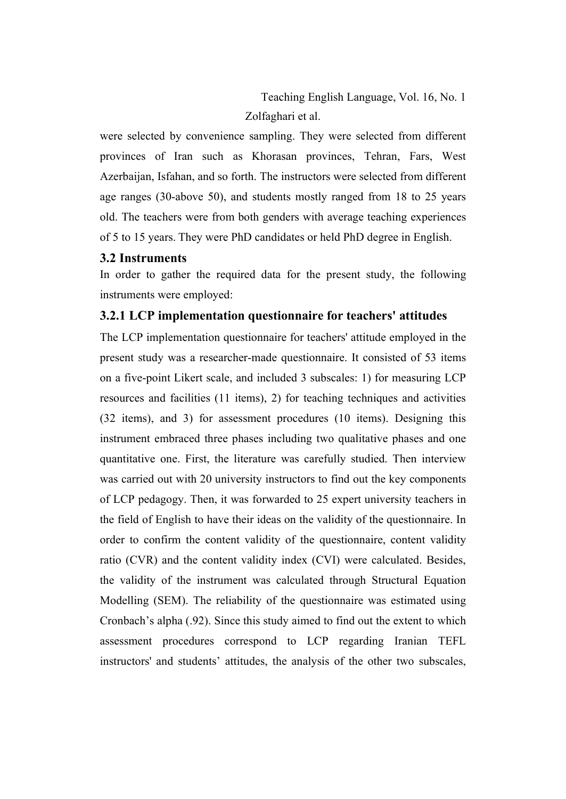Teaching English Language, Vol. 16, No. 1 Zolfaghari et al.

were selected by convenience sampling. They were selected from different provinces of Iran such as Khorasan provinces, Tehran, Fars, West Azerbaijan, Isfahan, and so forth. The instructors were selected from different age ranges (30-above 50), and students mostly ranged from 18 to 25 years old. The teachers were from both genders with average teaching experiences of 5 to 15 years. They were PhD candidates or held PhD degree in English.

### **3.2 Instruments**

In order to gather the required data for the present study, the following instruments were employed:

### **3.2.1 LCP implementation questionnaire for teachers' attitudes**

The LCP implementation questionnaire for teachers' attitude employed in the present study was a researcher-made questionnaire. It consisted of 53 items on a five-point Likert scale, and included 3 subscales: 1) for measuring LCP resources and facilities (11 items), 2) for teaching techniques and activities (32 items), and 3) for assessment procedures (10 items). Designing this instrument embraced three phases including two qualitative phases and one quantitative one. First, the literature was carefully studied. Then interview was carried out with 20 university instructors to find out the key components of LCP pedagogy. Then, it was forwarded to 25 expert university teachers in the field of English to have their ideas on the validity of the questionnaire. In order to confirm the content validity of the questionnaire, content validity ratio (CVR) and the content validity index (CVI) were calculated. Besides, the validity of the instrument was calculated through Structural Equation Modelling (SEM). The reliability of the questionnaire was estimated using Cronbach's alpha (.92). Since this study aimed to find out the extent to which assessment procedures correspond to LCP regarding Iranian TEFL instructors' and students' attitudes, the analysis of the other two subscales,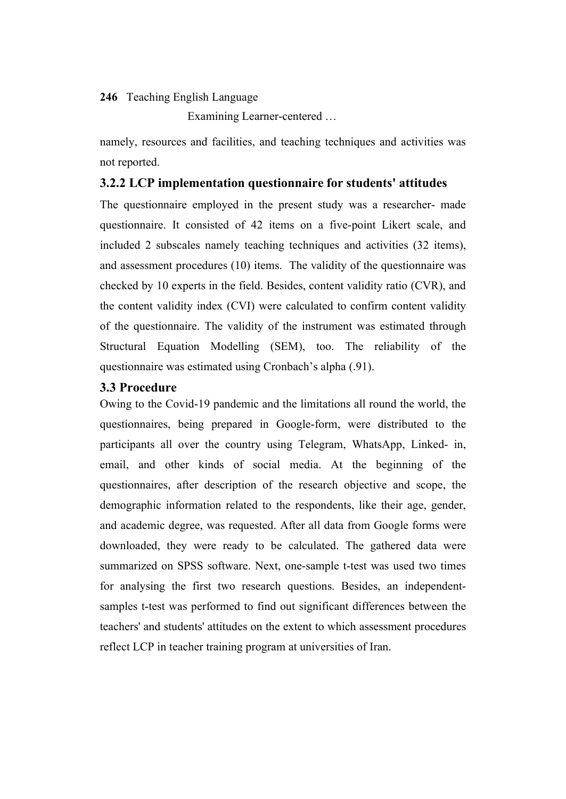Examining Learner-centered …

namely, resources and facilities, and teaching techniques and activities was not reported.

## **3.2.2 LCP implementation questionnaire for students' attitudes**

The questionnaire employed in the present study was a researcher- made questionnaire. It consisted of 42 items on a five-point Likert scale, and included 2 subscales namely teaching techniques and activities (32 items), and assessment procedures (10) items. The validity of the questionnaire was checked by 10 experts in the field. Besides, content validity ratio (CVR), and the content validity index (CVI) were calculated to confirm content validity of the questionnaire. The validity of the instrument was estimated through Structural Equation Modelling (SEM), too. The reliability of the questionnaire was estimated using Cronbach's alpha (.91).

## **3.3 Procedure**

Owing to the Covid-19 pandemic and the limitations all round the world, the questionnaires, being prepared in Google-form, were distributed to the participants all over the country using Telegram, WhatsApp, Linked- in, email, and other kinds of social media. At the beginning of the questionnaires, after description of the research objective and scope, the demographic information related to the respondents, like their age, gender, and academic degree, was requested. After all data from Google forms were downloaded, they were ready to be calculated. The gathered data were summarized on SPSS software. Next, one-sample t-test was used two times for analysing the first two research questions. Besides, an independentsamples t-test was performed to find out significant differences between the teachers' and students' attitudes on the extent to which assessment procedures reflect LCP in teacher training program at universities of Iran.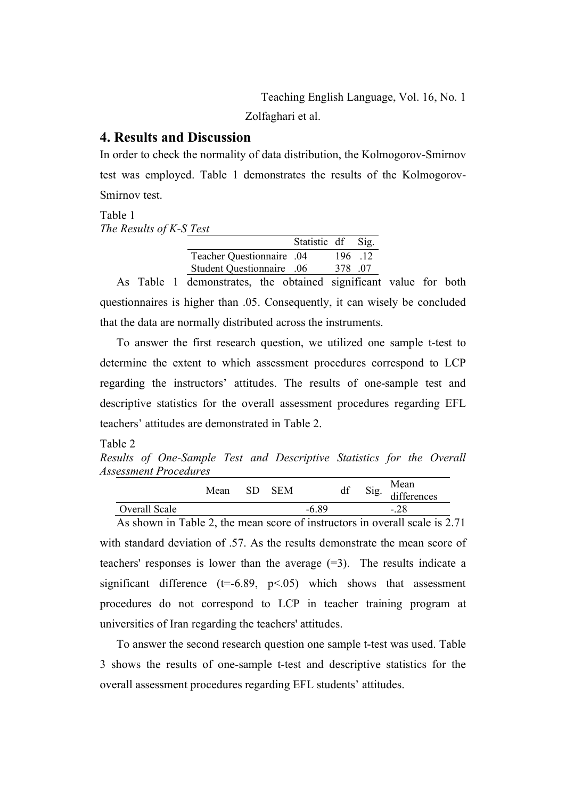Zolfaghari et al.

# **4. Results and Discussion**

In order to check the normality of data distribution, the Kolmogorov-Smirnov test was employed. Table 1 demonstrates the results of the Kolmogorov-Smirnov test.

Table 1 *The Results of K-S Test*

|                           | Statistic df Sig. |         |  |
|---------------------------|-------------------|---------|--|
| Teacher Questionnaire .04 |                   | 196 12  |  |
| Student Questionnaire .06 |                   | 378 .07 |  |

As Table 1 demonstrates, the obtained significant value for both questionnaires is higher than .05. Consequently, it can wisely be concluded that the data are normally distributed across the instruments.

To answer the first research question, we utilized one sample t-test to determine the extent to which assessment procedures correspond to LCP regarding the instructors' attitudes. The results of one-sample test and descriptive statistics for the overall assessment procedures regarding EFL teachers' attitudes are demonstrated in Table 2.

Table 2

*Results of One-Sample Test and Descriptive Statistics for the Overall Assessment Procedures* 

|               | Mean | SD | <b>SEM</b> |         | Sig. | Mean<br>differences |  |
|---------------|------|----|------------|---------|------|---------------------|--|
| Overall Scale |      |    |            | $-6.89$ |      | .28<br>$\sim$       |  |

As shown in Table 2, the mean score of instructors in overall scale is 2.71 with standard deviation of .57. As the results demonstrate the mean score of teachers' responses is lower than the average  $(=3)$ . The results indicate a significant difference  $(t=6.89, p<0.05)$  which shows that assessment procedures do not correspond to LCP in teacher training program at universities of Iran regarding the teachers' attitudes.

To answer the second research question one sample t-test was used. Table 3 shows the results of one-sample t-test and descriptive statistics for the overall assessment procedures regarding EFL students' attitudes.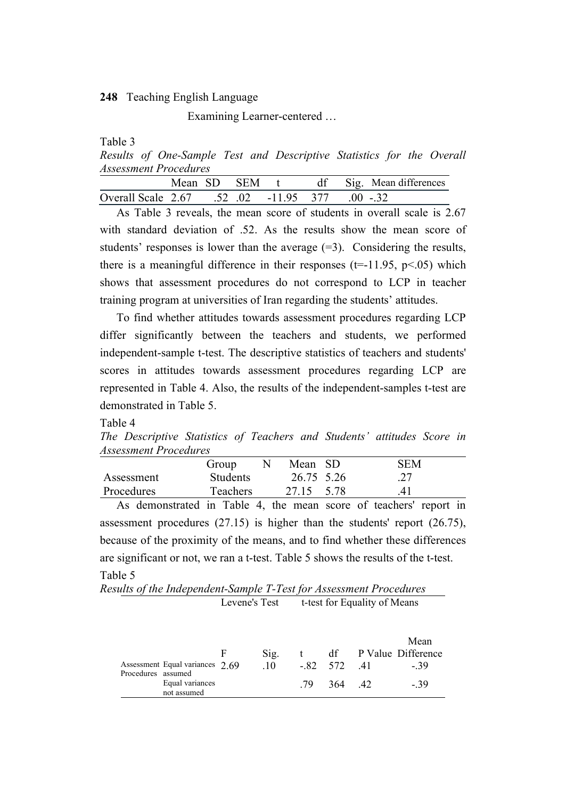Examining Learner-centered …

Table 3

*Results of One-Sample Test and Descriptive Statistics for the Overall Assessment Procedures* 

|                                                |  |  |  | Mean SD SEM t df Sig. Mean differences |
|------------------------------------------------|--|--|--|----------------------------------------|
| Overall Scale 2.67 .52 .02 -11.95 377 .00 -.32 |  |  |  |                                        |

As Table 3 reveals, the mean score of students in overall scale is 2.67 with standard deviation of .52. As the results show the mean score of students' responses is lower than the average  $(=3)$ . Considering the results, there is a meaningful difference in their responses  $(t=11.95, p<0.05)$  which shows that assessment procedures do not correspond to LCP in teacher training program at universities of Iran regarding the students' attitudes.

To find whether attitudes towards assessment procedures regarding LCP differ significantly between the teachers and students, we performed independent-sample t-test. The descriptive statistics of teachers and students' scores in attitudes towards assessment procedures regarding LCP are represented in Table 4. Also, the results of the independent-samples t-test are demonstrated in Table 5.

Table 4

*The Descriptive Statistics of Teachers and Students' attitudes Score in Assessment Procedures*

|            | Group           | Mean SD    |      | <b>SEM</b> |
|------------|-----------------|------------|------|------------|
| Assessment | <b>Students</b> | 26.75 5.26 |      |            |
| Procedures | Teachers        | 27.15      | 5.78 | 41         |

As demonstrated in Table 4, the mean score of teachers' report in assessment procedures (27.15) is higher than the students' report (26.75), because of the proximity of the means, and to find whether these differences are significant or not, we ran a t-test. Table 5 shows the results of the t-test. Table 5

*Results of the Independent-Sample T-Test for Assessment Procedures* Levene's Test t-test for Equality of Means

|                    |                                | F | Sig. |     |              | Mean<br>df P Value Difference |
|--------------------|--------------------------------|---|------|-----|--------------|-------------------------------|
| Procedures assumed | Assessment Equal variances 269 |   | -10  |     | $-82$ 572 41 | - 39                          |
|                    | Equal variances<br>not assumed |   |      | -79 | 364 42       | - 39                          |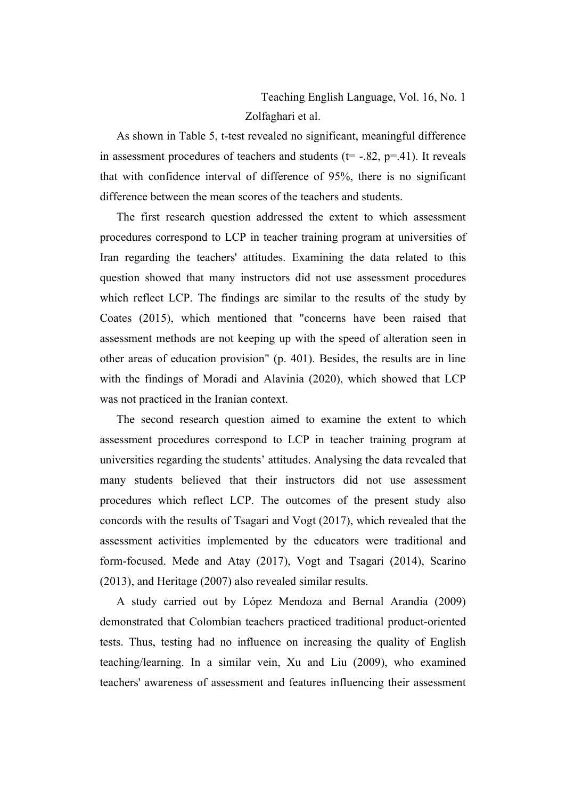Teaching English Language, Vol. 16, No. 1 Zolfaghari et al.

As shown in Table 5, t-test revealed no significant, meaningful difference in assessment procedures of teachers and students ( $t = -0.82$ ,  $p = -0.41$ ). It reveals that with confidence interval of difference of 95%, there is no significant difference between the mean scores of the teachers and students.

The first research question addressed the extent to which assessment procedures correspond to LCP in teacher training program at universities of Iran regarding the teachers' attitudes. Examining the data related to this question showed that many instructors did not use assessment procedures which reflect LCP. The findings are similar to the results of the study by Coates (2015), which mentioned that "concerns have been raised that assessment methods are not keeping up with the speed of alteration seen in other areas of education provision" (p. 401). Besides, the results are in line with the findings of Moradi and Alavinia (2020), which showed that LCP was not practiced in the Iranian context.

The second research question aimed to examine the extent to which assessment procedures correspond to LCP in teacher training program at universities regarding the students' attitudes. Analysing the data revealed that many students believed that their instructors did not use assessment procedures which reflect LCP. The outcomes of the present study also concords with the results of Tsagari and Vogt (2017), which revealed that the assessment activities implemented by the educators were traditional and form-focused. Mede and Atay (2017), Vogt and Tsagari (2014), Scarino (2013), and Heritage (2007) also revealed similar results.

A study carried out by López Mendoza and Bernal Arandia (2009) demonstrated that Colombian teachers practiced traditional product-oriented tests. Thus, testing had no influence on increasing the quality of English teaching/learning. In a similar vein, Xu and Liu (2009), who examined teachers' awareness of assessment and features influencing their assessment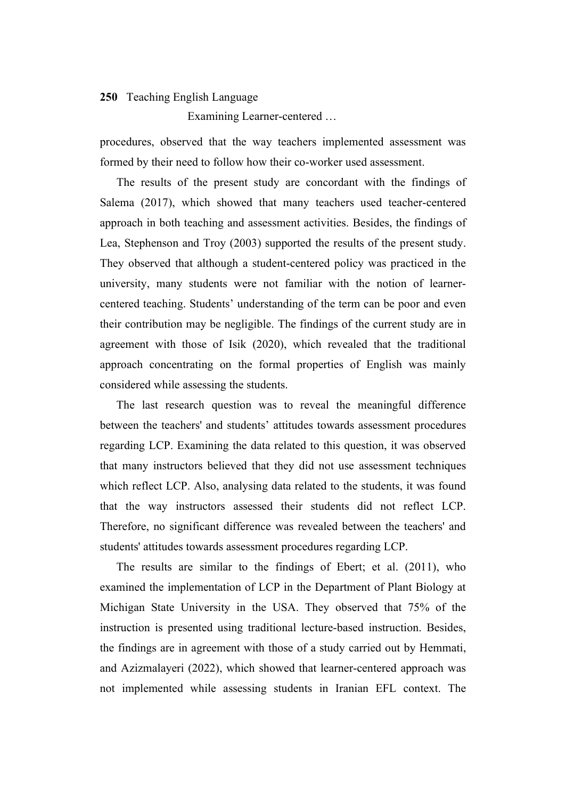Examining Learner-centered …

procedures, observed that the way teachers implemented assessment was formed by their need to follow how their co-worker used assessment.

The results of the present study are concordant with the findings of Salema (2017), which showed that many teachers used teacher-centered approach in both teaching and assessment activities. Besides, the findings of Lea, Stephenson and Troy (2003) supported the results of the present study. They observed that although a student-centered policy was practiced in the university, many students were not familiar with the notion of learnercentered teaching. Students' understanding of the term can be poor and even their contribution may be negligible. The findings of the current study are in agreement with those of Isik (2020), which revealed that the traditional approach concentrating on the formal properties of English was mainly considered while assessing the students.

The last research question was to reveal the meaningful difference between the teachers' and students' attitudes towards assessment procedures regarding LCP. Examining the data related to this question, it was observed that many instructors believed that they did not use assessment techniques which reflect LCP. Also, analysing data related to the students, it was found that the way instructors assessed their students did not reflect LCP. Therefore, no significant difference was revealed between the teachers' and students' attitudes towards assessment procedures regarding LCP.

The results are similar to the findings of Ebert; et al. (2011), who examined the implementation of LCP in the Department of Plant Biology at Michigan State University in the USA. They observed that 75% of the instruction is presented using traditional lecture-based instruction. Besides, the findings are in agreement with those of a study carried out by Hemmati, and Azizmalayeri (2022), which showed that learner-centered approach was not implemented while assessing students in Iranian EFL context. The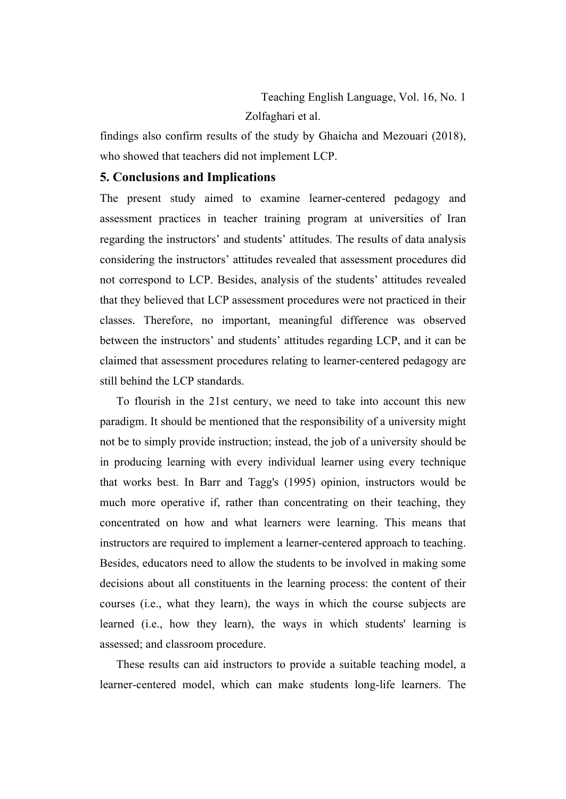findings also confirm results of the study by Ghaicha and Mezouari (2018), who showed that teachers did not implement LCP.

# **5. Conclusions and Implications**

The present study aimed to examine learner-centered pedagogy and assessment practices in teacher training program at universities of Iran regarding the instructors' and students' attitudes. The results of data analysis considering the instructors' attitudes revealed that assessment procedures did not correspond to LCP. Besides, analysis of the students' attitudes revealed that they believed that LCP assessment procedures were not practiced in their classes. Therefore, no important, meaningful difference was observed between the instructors' and students' attitudes regarding LCP, and it can be claimed that assessment procedures relating to learner-centered pedagogy are still behind the LCP standards.

To flourish in the 21st century, we need to take into account this new paradigm. It should be mentioned that the responsibility of a university might not be to simply provide instruction; instead, the job of a university should be in producing learning with every individual learner using every technique that works best. In Barr and Tagg's (1995) opinion, instructors would be much more operative if, rather than concentrating on their teaching, they concentrated on how and what learners were learning. This means that instructors are required to implement a learner-centered approach to teaching. Besides, educators need to allow the students to be involved in making some decisions about all constituents in the learning process: the content of their courses (i.e., what they learn), the ways in which the course subjects are learned (i.e., how they learn), the ways in which students' learning is assessed; and classroom procedure.

These results can aid instructors to provide a suitable teaching model, a learner-centered model, which can make students long-life learners. The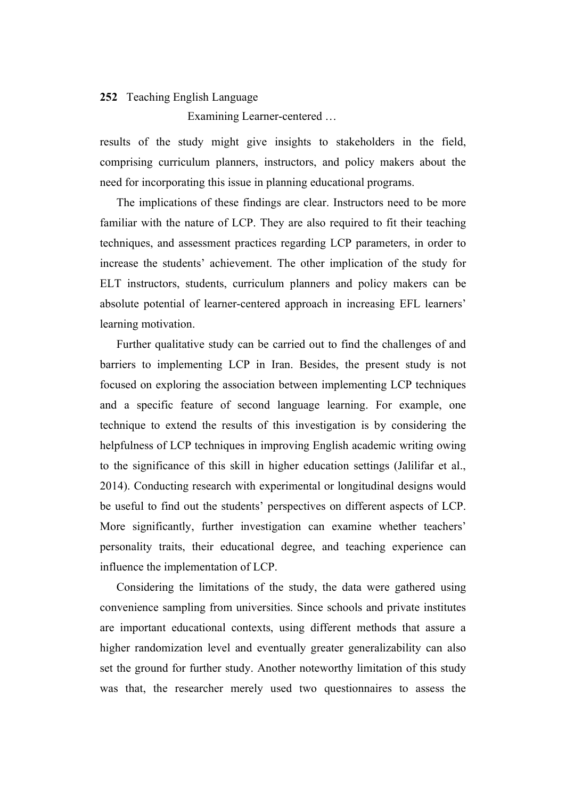Examining Learner-centered …

results of the study might give insights to stakeholders in the field, comprising curriculum planners, instructors, and policy makers about the need for incorporating this issue in planning educational programs.

The implications of these findings are clear. Instructors need to be more familiar with the nature of LCP. They are also required to fit their teaching techniques, and assessment practices regarding LCP parameters, in order to increase the students' achievement. The other implication of the study for ELT instructors, students, curriculum planners and policy makers can be absolute potential of learner-centered approach in increasing EFL learners' learning motivation.

Further qualitative study can be carried out to find the challenges of and barriers to implementing LCP in Iran. Besides, the present study is not focused on exploring the association between implementing LCP techniques and a specific feature of second language learning. For example, one technique to extend the results of this investigation is by considering the helpfulness of LCP techniques in improving English academic writing owing to the significance of this skill in higher education settings (Jalilifar et al., 2014). Conducting research with experimental or longitudinal designs would be useful to find out the students' perspectives on different aspects of LCP. More significantly, further investigation can examine whether teachers' personality traits, their educational degree, and teaching experience can influence the implementation of LCP.

Considering the limitations of the study, the data were gathered using convenience sampling from universities. Since schools and private institutes are important educational contexts, using different methods that assure a higher randomization level and eventually greater generalizability can also set the ground for further study. Another noteworthy limitation of this study was that, the researcher merely used two questionnaires to assess the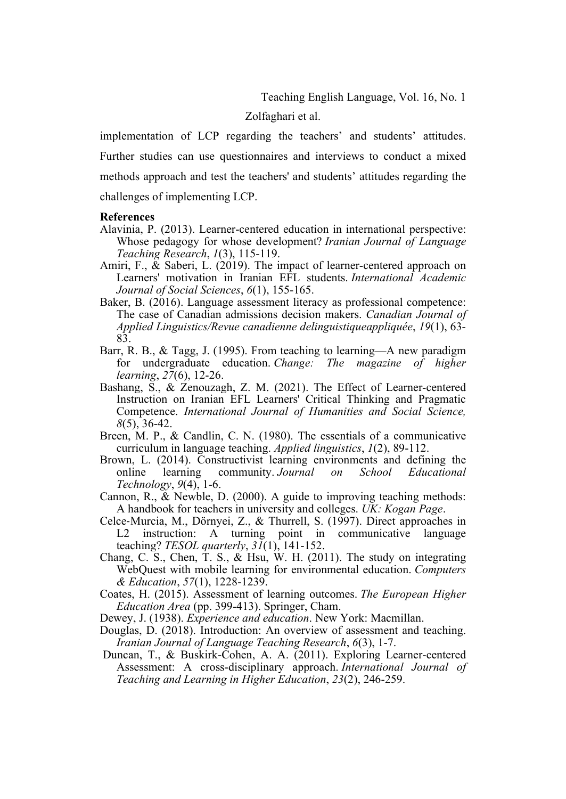Teaching English Language, Vol. 16, No. 1

Zolfaghari et al.

implementation of LCP regarding the teachers' and students' attitudes. Further studies can use questionnaires and interviews to conduct a mixed methods approach and test the teachers' and students' attitudes regarding the challenges of implementing LCP.

#### **References**

- Alavinia, P. (2013). Learner-centered education in international perspective: Whose pedagogy for whose development? *Iranian Journal of Language Teaching Research*, *1*(3), 115-119.
- Amiri, F.,  $\&$  Saberi, L. (2019). The impact of learner-centered approach on Learners' motivation in Iranian EFL students. *International Academic Journal of Social Sciences*, *6*(1), 155-165.
- Baker, B. (2016). Language assessment literacy as professional competence: The case of Canadian admissions decision makers. *Canadian Journal of Applied Linguistics/Revue canadienne delinguistiqueappliquée*, *19*(1), 63- 83.
- Barr, R. B., & Tagg, J. (1995). From teaching to learning—A new paradigm for undergraduate education. *Change: The magazine of higher learning*, *27*(6), 12-26.
- Bashang, S., & Zenouzagh, Z. M. (2021). The Effect of Learner-centered Instruction on Iranian EFL Learners' Critical Thinking and Pragmatic Competence. *International Journal of Humanities and Social Science, 8*(5), 36-42.
- Breen, M. P., & Candlin, C. N. (1980). The essentials of a communicative curriculum in language teaching. *Applied linguistics*, *1*(2), 89-112.
- Brown, L. (2014). Constructivist learning environments and defining the online learning community. Journal on School Educational community. *Journal Technology*, *9*(4), 1-6.
- Cannon, R., & Newble, D. (2000). A guide to improving teaching methods: A handbook for teachers in university and colleges. *UK: Kogan Page*.
- Celce-Murcia, M., Dörnyei, Z., & Thurrell, S. (1997). Direct approaches in L2 instruction: A turning point in communicative language point in communicative language teaching? *TESOL quarterly*, *31*(1), 141-152.
- Chang, C. S., Chen, T. S., & Hsu, W. H. (2011). The study on integrating WebQuest with mobile learning for environmental education. *Computers & Education*, *57*(1), 1228-1239.
- Coates, H. (2015). Assessment of learning outcomes. *The European Higher Education Area* (pp. 399-413). Springer, Cham.
- Dewey, J. (1938). *Experience and education*. New York: Macmillan.
- Douglas, D. (2018). Introduction: An overview of assessment and teaching. *Iranian Journal of Language Teaching Research*, *6*(3), 1-7.
- Duncan, T., & Buskirk-Cohen, A. A. (2011). Exploring Learner-centered Assessment: A cross-disciplinary approach. *International Journal of Teaching and Learning in Higher Education*, *23*(2), 246-259.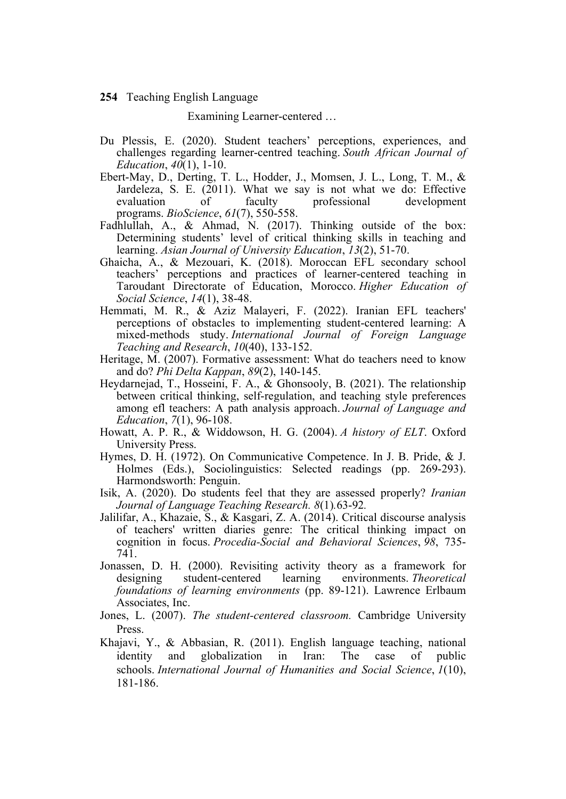Examining Learner-centered …

- Du Plessis, E. (2020). Student teachers' perceptions, experiences, and challenges regarding learner-centred teaching. *South African Journal of Education*, *40*(1), 1-10.
- Ebert-May, D., Derting, T. L., Hodder, J., Momsen, J. L., Long, T. M., & Jardeleza, S. E. (2011). What we say is not what we do: Effective development programs. *BioScience*, *61*(7), 550-558.
- Fadhlullah, A., & Ahmad, N. (2017). Thinking outside of the box: Determining students' level of critical thinking skills in teaching and learning. *Asian Journal of University Education*, *13*(2), 51-70.
- Ghaicha, A., & Mezouari, K. (2018). Moroccan EFL secondary school teachers' perceptions and practices of learner-centered teaching in Taroudant Directorate of Education, Morocco. *Higher Education of Social Science*, *14*(1), 38-48.
- Hemmati, M. R., & Aziz Malayeri, F. (2022). Iranian EFL teachers' perceptions of obstacles to implementing student-centered learning: A mixed-methods study. *International Journal of Foreign Language Teaching and Research*, *10*(40), 133-152.
- Heritage, M. (2007). Formative assessment: What do teachers need to know and do? *Phi Delta Kappan*, *89*(2), 140-145.
- Heydarnejad, T., Hosseini, F. A., & Ghonsooly, B. (2021). The relationship between critical thinking, self-regulation, and teaching style preferences among efl teachers: A path analysis approach. *Journal of Language and Education*, *7*(1), 96-108.
- Howatt, A. P. R., & Widdowson, H. G. (2004). *A history of ELT*. Oxford University Press.
- Hymes, D. H. (1972). On Communicative Competence. In J. B. Pride, & J. Holmes (Eds.), Sociolinguistics: Selected readings (pp. 269-293). Harmondsworth: Penguin.
- Isik, A. (2020). Do students feel that they are assessed properly? *Iranian Journal of Language Teaching Research. 8*(1)*.*63-92*.*
- Jalilifar, A., Khazaie, S., & Kasgari, Z. A. (2014). Critical discourse analysis of teachers' written diaries genre: The critical thinking impact on cognition in focus. *Procedia-Social and Behavioral Sciences*, *98*, 735- 741.
- Jonassen, D. H. (2000). Revisiting activity theory as a framework for designing student-centered learning environments. *Theoretical foundations of learning environments* (pp. 89-121). Lawrence Erlbaum Associates, Inc.
- Jones, L. (2007). *The student-centered classroom.* Cambridge University Press.
- Khajavi, Y., & Abbasian, R. (2011). English language teaching, national identity and globalization in Iran: The case of public schools. *International Journal of Humanities and Social Science*, *1*(10), 181-186.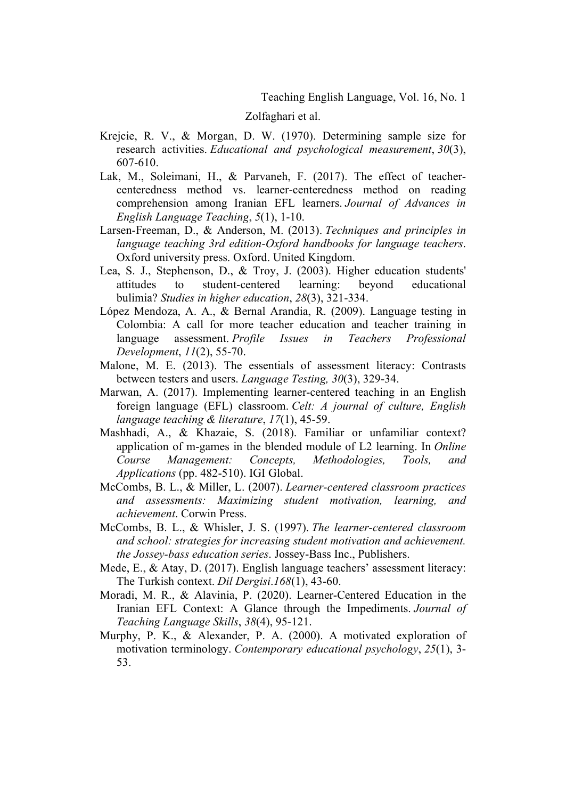Zolfaghari et al.

- Krejcie, R. V., & Morgan, D. W. (1970). Determining sample size for research activities. *Educational and psychological measurement*, *30*(3), 607-610.
- Lak, M., Soleimani, H., & Parvaneh, F. (2017). The effect of teachercenteredness method vs. learner-centeredness method on reading comprehension among Iranian EFL learners. *Journal of Advances in English Language Teaching*, *5*(1), 1-10.
- Larsen-Freeman, D., & Anderson, M. (2013). *Techniques and principles in language teaching 3rd edition-Oxford handbooks for language teachers*. Oxford university press. Oxford. United Kingdom.
- Lea, S. J., Stephenson, D., & Troy, J. (2003). Higher education students' attitudes to student-centered learning: beyond educational bulimia? *Studies in higher education*, *28*(3), 321-334.
- López Mendoza, A. A., & Bernal Arandia, R. (2009). Language testing in Colombia: A call for more teacher education and teacher training in language assessment. *Profile Issues in Teachers Professional Development*, *11*(2), 55-70.
- Malone, M. E. (2013). The essentials of assessment literacy: Contrasts between testers and users. *Language Testing, 30*(3), 329-34.
- Marwan, A. (2017). Implementing learner-centered teaching in an English foreign language (EFL) classroom. *Celt: A journal of culture, English language teaching & literature*, *17*(1), 45-59.
- Mashhadi, A., & Khazaie, S. (2018). Familiar or unfamiliar context? application of m-games in the blended module of L2 learning. In *Online Course Management: Concepts, Methodologies, Tools, and Applications* (pp. 482-510). IGI Global.
- McCombs, B. L., & Miller, L. (2007). *Learner-centered classroom practices and assessments: Maximizing student motivation, learning, and achievement*. Corwin Press.
- McCombs, B. L., & Whisler, J. S. (1997). *The learner-centered classroom and school: strategies for increasing student motivation and achievement. the Jossey-bass education series*. Jossey-Bass Inc., Publishers.
- Mede, E., & Atay, D. (2017). English language teachers' assessment literacy: The Turkish context. *Dil Dergisi*.*168*(1), 43-60.
- Moradi, M. R., & Alavinia, P. (2020). Learner-Centered Education in the Iranian EFL Context: A Glance through the Impediments. *Journal of Teaching Language Skills*, *38*(4), 95-121.
- Murphy, P. K., & Alexander, P. A. (2000). A motivated exploration of motivation terminology. *Contemporary educational psychology*, *25*(1), 3- 53.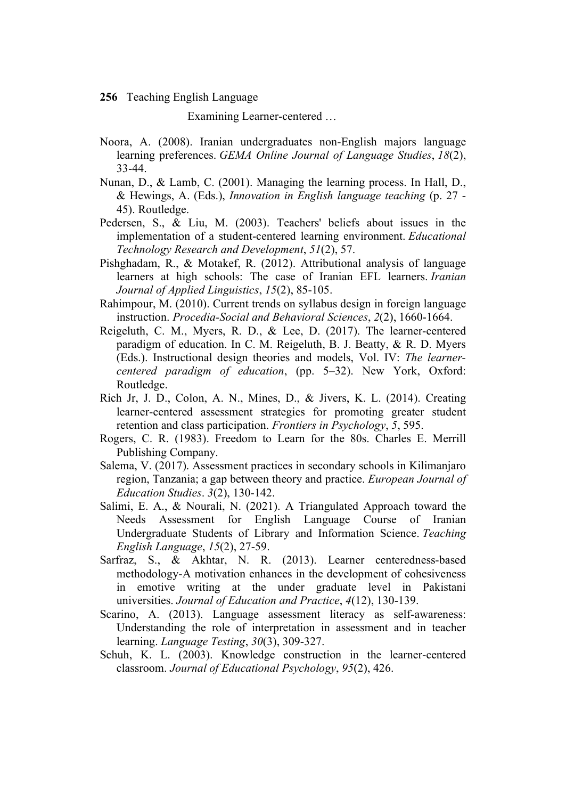Examining Learner-centered …

- Noora, A. (2008). Iranian undergraduates non-English majors language learning preferences. *GEMA Online Journal of Language Studies*, *18*(2), 33-44.
- Nunan, D., & Lamb, C. (2001). Managing the learning process. In Hall, D., & Hewings, A. (Eds.), *Innovation in English language teaching* (p. 27 - 45). Routledge.
- Pedersen, S., & Liu, M. (2003). Teachers' beliefs about issues in the implementation of a student-centered learning environment. *Educational Technology Research and Development*, *51*(2), 57.
- Pishghadam, R., & Motakef, R. (2012). Attributional analysis of language learners at high schools: The case of Iranian EFL learners. *Iranian Journal of Applied Linguistics*, *15*(2), 85-105.
- Rahimpour, M. (2010). Current trends on syllabus design in foreign language instruction. *Procedia-Social and Behavioral Sciences*, *2*(2), 1660-1664.
- Reigeluth, C. M., Myers, R. D., & Lee, D. (2017). The learner-centered paradigm of education. In C. M. Reigeluth, B. J. Beatty, & R. D. Myers (Eds.). Instructional design theories and models, Vol. IV: *The learnercentered paradigm of education*, (pp. 5–32). New York, Oxford: Routledge.
- Rich Jr, J. D., Colon, A. N., Mines, D., & Jivers, K. L. (2014). Creating learner-centered assessment strategies for promoting greater student retention and class participation. *Frontiers in Psychology*, *5*, 595.
- Rogers, C. R. (1983). Freedom to Learn for the 80s. Charles E. Merrill Publishing Company.
- Salema, V. (2017). Assessment practices in secondary schools in Kilimanjaro region, Tanzania; a gap between theory and practice. *European Journal of Education Studies*. *3*(2), 130-142.
- Salimi, E. A., & Nourali, N. (2021). A Triangulated Approach toward the Needs Assessment for English Language Course of Iranian Undergraduate Students of Library and Information Science. *Teaching English Language*, *15*(2), 27-59.
- Sarfraz, S., & Akhtar, N. R. (2013). Learner centeredness-based methodology-A motivation enhances in the development of cohesiveness in emotive writing at the under graduate level in Pakistani universities. *Journal of Education and Practice*, *4*(12), 130-139.
- Scarino, A. (2013). Language assessment literacy as self-awareness: Understanding the role of interpretation in assessment and in teacher learning. *Language Testing*, *30*(3), 309-327.
- Schuh, K. L. (2003). Knowledge construction in the learner-centered classroom. *Journal of Educational Psychology*, *95*(2), 426.